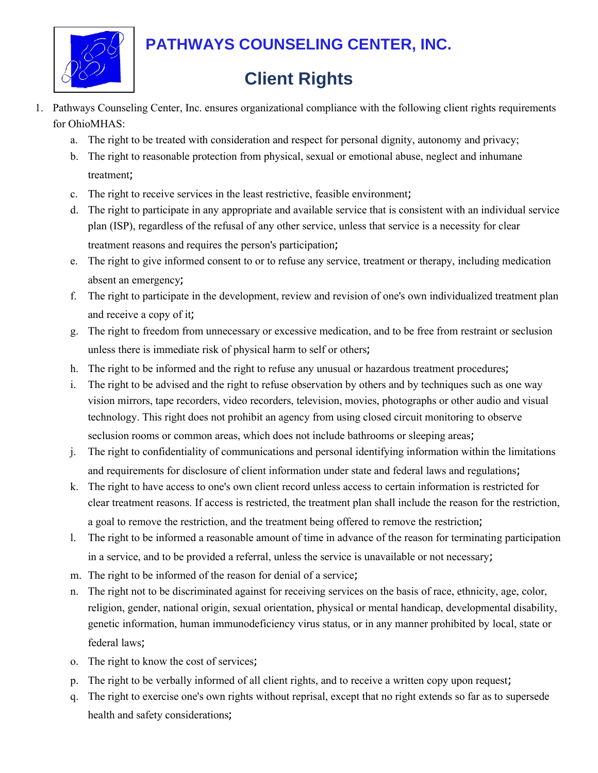

## **PATHWAYS COUNSELING CENTER, INC.**

## **Client Rights**

- 1. Pathways Counseling Center, Inc. ensures organizational compliance with the following client rights requirements for OhioMHAS:
	- a. The right to be treated with consideration and respect for personal dignity, autonomy and privacy;
	- b. The right to reasonable protection from physical, sexual or emotional abuse, neglect and inhumane treatment;
	- c. The right to receive services in the least restrictive, feasible environment;
	- d. The right to participate in any appropriate and available service that is consistent with an individual service plan (ISP), regardless of the refusal of any other service, unless that service is a necessity for clear treatment reasons and requires the person's participation;
	- e. The right to give informed consent to or to refuse any service, treatment or therapy, including medication absent an emergency;
	- f. The right to participate in the development, review and revision of one's own individualized treatment plan and receive a copy of it;
	- g. The right to freedom from unnecessary or excessive medication, and to be free from restraint or seclusion unless there is immediate risk of physical harm to self or others;
	- h. The right to be informed and the right to refuse any unusual or hazardous treatment procedures;
	- i. The right to be advised and the right to refuse observation by others and by techniques such as one way vision mirrors, tape recorders, video recorders, television, movies, photographs or other audio and visual technology. This right does not prohibit an agency from using closed circuit monitoring to observe seclusion rooms or common areas, which does not include bathrooms or sleeping areas;
	- j. The right to confidentiality of communications and personal identifying information within the limitations and requirements for disclosure of client information under state and federal laws and regulations;
	- k. The right to have access to one's own client record unless access to certain information is restricted for clear treatment reasons. If access is restricted, the treatment plan shall include the reason for the restriction, a goal to remove the restriction, and the treatment being offered to remove the restriction;
	- l. The right to be informed a reasonable amount of time in advance of the reason for terminating participation in a service, and to be provided a referral, unless the service is unavailable or not necessary;
	- m. The right to be informed of the reason for denial of a service;
	- n. The right not to be discriminated against for receiving services on the basis of race, ethnicity, age, color, religion, gender, national origin, sexual orientation, physical or mental handicap, developmental disability, genetic information, human immunodeficiency virus status, or in any manner prohibited by local, state or federal laws;
	- o. The right to know the cost of services;
	- p. The right to be verbally informed of all client rights, and to receive a written copy upon request;
	- q. The right to exercise one's own rights without reprisal, except that no right extends so far as to supersede health and safety considerations;